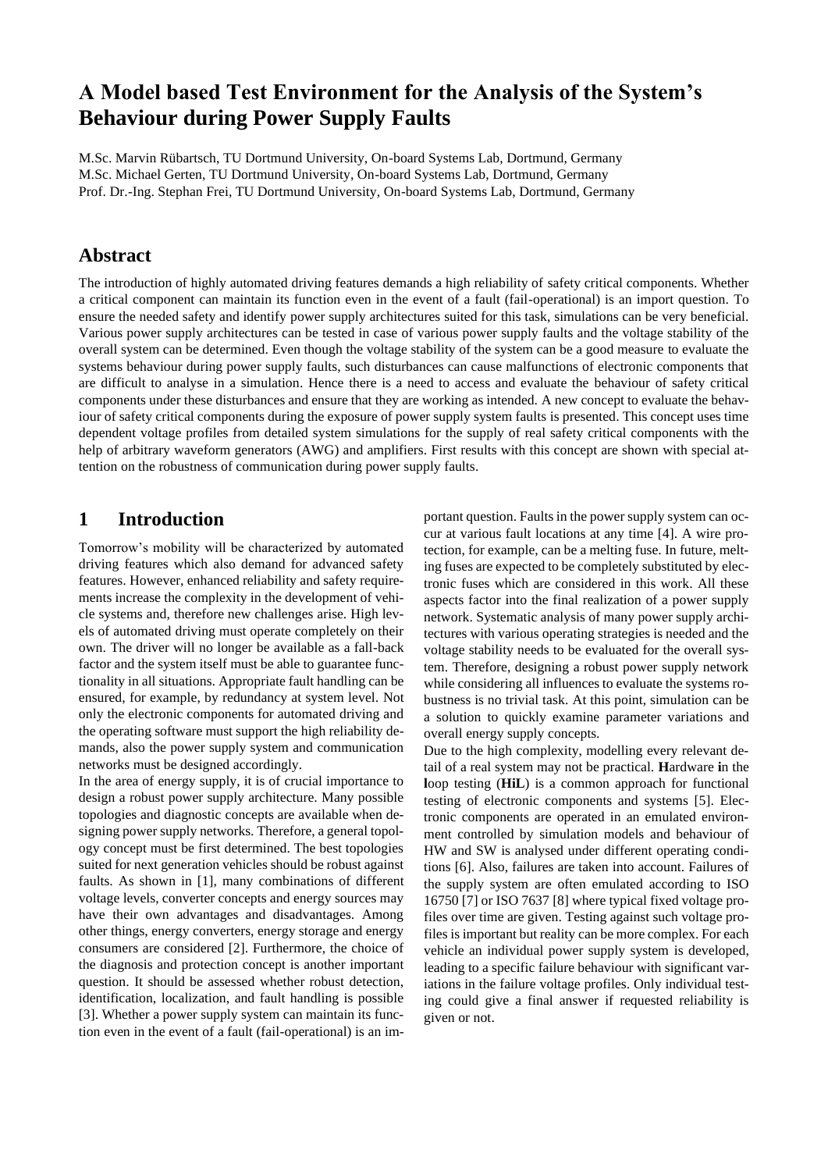# **A Model based Test Environment for the Analysis of the System's Behaviour during Power Supply Faults**

M.Sc. Marvin Rübartsch, TU Dortmund University, On-board Systems Lab, Dortmund, Germany M.Sc. Michael Gerten, TU Dortmund University, On-board Systems Lab, Dortmund, Germany Prof. Dr.-Ing. Stephan Frei, TU Dortmund University, On-board Systems Lab, Dortmund, Germany

### **Abstract**

The introduction of highly automated driving features demands a high reliability of safety critical components. Whether a critical component can maintain its function even in the event of a fault (fail-operational) is an import question. To ensure the needed safety and identify power supply architectures suited for this task, simulations can be very beneficial. Various power supply architectures can be tested in case of various power supply faults and the voltage stability of the overall system can be determined. Even though the voltage stability of the system can be a good measure to evaluate the systems behaviour during power supply faults, such disturbances can cause malfunctions of electronic components that are difficult to analyse in a simulation. Hence there is a need to access and evaluate the behaviour of safety critical components under these disturbances and ensure that they are working as intended. A new concept to evaluate the behaviour of safety critical components during the exposure of power supply system faults is presented. This concept uses time dependent voltage profiles from detailed system simulations for the supply of real safety critical components with the help of arbitrary waveform generators (AWG) and amplifiers. First results with this concept are shown with special attention on the robustness of communication during power supply faults.

### **1 Introduction**

Tomorrow's mobility will be characterized by automated driving features which also demand for advanced safety features. However, enhanced reliability and safety requirements increase the complexity in the development of vehicle systems and, therefore new challenges arise. High levels of automated driving must operate completely on their own. The driver will no longer be available as a fall-back factor and the system itself must be able to guarantee functionality in all situations. Appropriate fault handling can be ensured, for example, by redundancy at system level. Not only the electronic components for automated driving and the operating software must support the high reliability demands, also the power supply system and communication networks must be designed accordingly.

In the area of energy supply, it is of crucial importance to design a robust power supply architecture. Many possible topologies and diagnostic concepts are available when designing power supply networks. Therefore, a general topology concept must be first determined. The best topologies suited for next generation vehicles should be robust against faults. As shown in [1], many combinations of different voltage levels, converter concepts and energy sources may have their own advantages and disadvantages. Among other things, energy converters, energy storage and energy consumers are considered [2]. Furthermore, the choice of the diagnosis and protection concept is another important question. It should be assessed whether robust detection, identification, localization, and fault handling is possible [3]. Whether a power supply system can maintain its function even in the event of a fault (fail-operational) is an important question. Faults in the power supply system can occur at various fault locations at any time [4]. A wire protection, for example, can be a melting fuse. In future, melting fuses are expected to be completely substituted by electronic fuses which are considered in this work. All these aspects factor into the final realization of a power supply network. Systematic analysis of many power supply architectures with various operating strategies is needed and the voltage stability needs to be evaluated for the overall system. Therefore, designing a robust power supply network while considering all influences to evaluate the systems robustness is no trivial task. At this point, simulation can be a solution to quickly examine parameter variations and overall energy supply concepts.

Due to the high complexity, modelling every relevant detail of a real system may not be practical. **H**ardware **i**n the **l**oop testing (**HiL**) is a common approach for functional testing of electronic components and systems [5]. Electronic components are operated in an emulated environment controlled by simulation models and behaviour of HW and SW is analysed under different operating conditions [6]. Also, failures are taken into account. Failures of the supply system are often emulated according to ISO 16750 [7] or ISO 7637 [8] where typical fixed voltage profiles over time are given. Testing against such voltage profiles is important but reality can be more complex. For each vehicle an individual power supply system is developed, leading to a specific failure behaviour with significant variations in the failure voltage profiles. Only individual testing could give a final answer if requested reliability is given or not.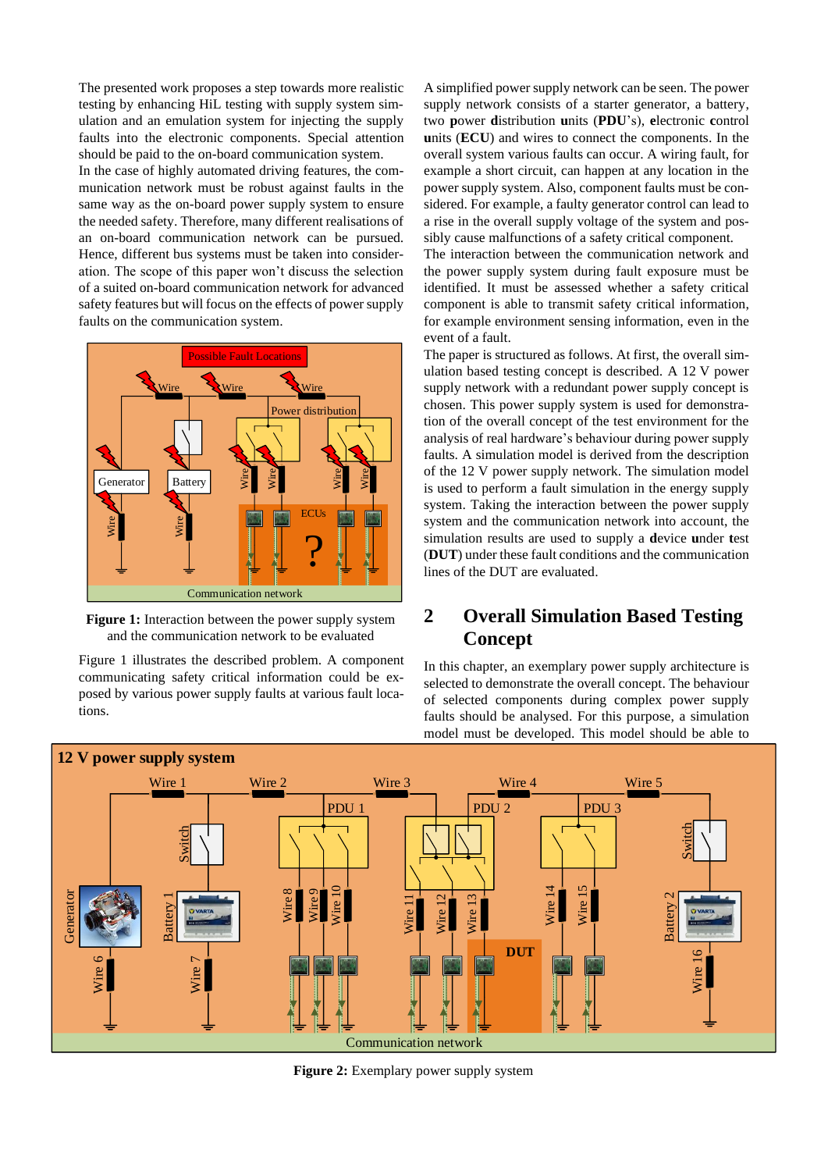The presented work proposes a step towards more realistic testing by enhancing HiL testing with supply system simulation and an emulation system for injecting the supply faults into the electronic components. Special attention should be paid to the on-board communication system.

In the case of highly automated driving features, the communication network must be robust against faults in the same way as the on-board power supply system to ensure the needed safety. Therefore, many different realisations of an on-board communication network can be pursued. Hence, different bus systems must be taken into consideration. The scope of this paper won't discuss the selection of a suited on-board communication network for advanced safety features but will focus on the effects of power supply faults on the communication system.



**Figure 1:** Interaction between the power supply system and the communication network to be evaluated

Figure 1 illustrates the described problem. A component communicating safety critical information could be exposed by various power supply faults at various fault locations.

A simplified power supply network can be seen. The power supply network consists of a starter generator, a battery, two **p**ower **d**istribution **u**nits (**PDU**'s), **e**lectronic **c**ontrol **u**nits (**ECU**) and wires to connect the components. In the overall system various faults can occur. A wiring fault, for example a short circuit, can happen at any location in the power supply system. Also, component faults must be considered. For example, a faulty generator control can lead to a rise in the overall supply voltage of the system and possibly cause malfunctions of a safety critical component.

The interaction between the communication network and the power supply system during fault exposure must be identified. It must be assessed whether a safety critical component is able to transmit safety critical information, for example environment sensing information, even in the event of a fault.

The paper is structured as follows. At first, the overall simulation based testing concept is described. A 12 V power supply network with a redundant power supply concept is chosen. This power supply system is used for demonstration of the overall concept of the test environment for the analysis of real hardware's behaviour during power supply faults. A simulation model is derived from the description of the 12 V power supply network. The simulation model is used to perform a fault simulation in the energy supply system. Taking the interaction between the power supply system and the communication network into account, the simulation results are used to supply a **d**evice **u**nder **t**est (**DUT**) under these fault conditions and the communication lines of the DUT are evaluated.

## **2 Overall Simulation Based Testing Concept**

In this chapter, an exemplary power supply architecture is selected to demonstrate the overall concept. The behaviour of selected components during complex power supply faults should be analysed. For this purpose, a simulation model must be developed. This model should be able to



**Figure 2:** Exemplary power supply system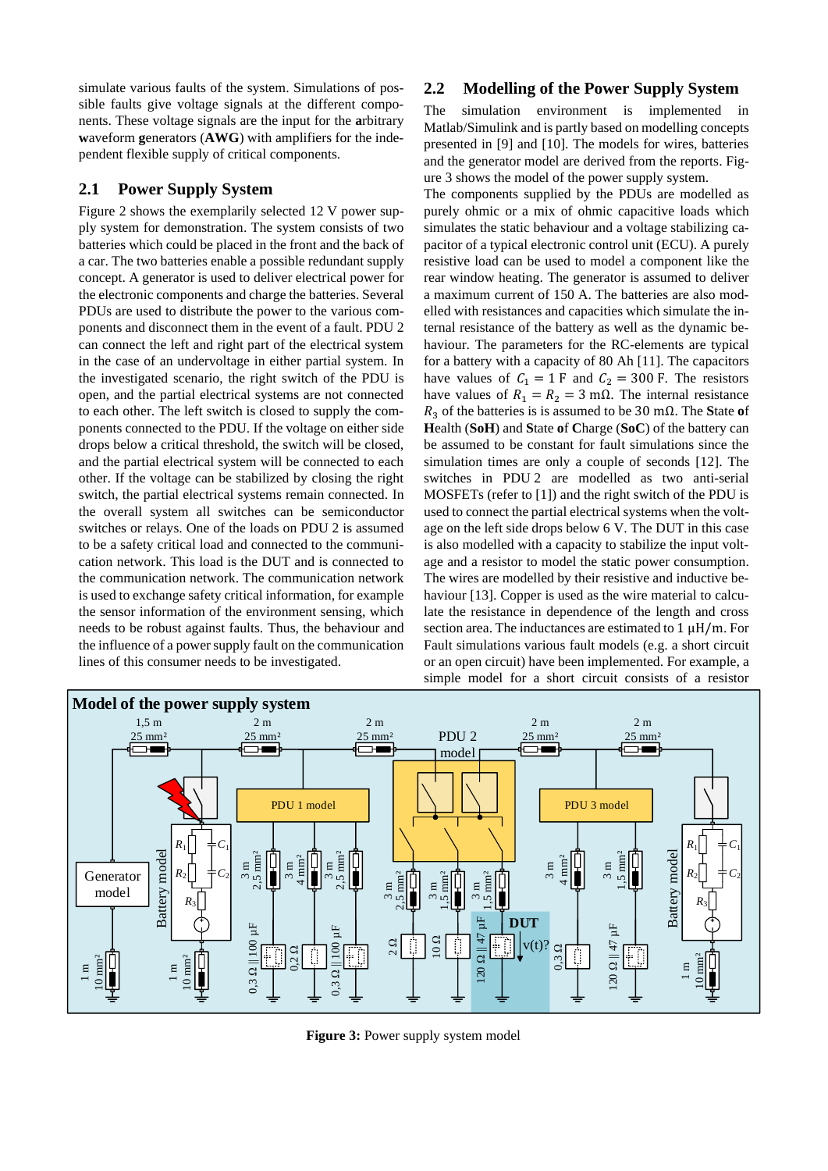simulate various faults of the system. Simulations of possible faults give voltage signals at the different components. These voltage signals are the input for the **a**rbitrary **w**aveform **g**enerators (**AWG**) with amplifiers for the independent flexible supply of critical components.

#### **2.1 Power Supply System**

Figure 2 shows the exemplarily selected 12 V power supply system for demonstration. The system consists of two batteries which could be placed in the front and the back of a car. The two batteries enable a possible redundant supply concept. A generator is used to deliver electrical power for the electronic components and charge the batteries. Several PDUs are used to distribute the power to the various components and disconnect them in the event of a fault. PDU 2 can connect the left and right part of the electrical system in the case of an undervoltage in either partial system. In the investigated scenario, the right switch of the PDU is open, and the partial electrical systems are not connected to each other. The left switch is closed to supply the components connected to the PDU. If the voltage on either side drops below a critical threshold, the switch will be closed, and the partial electrical system will be connected to each other. If the voltage can be stabilized by closing the right switch, the partial electrical systems remain connected. In the overall system all switches can be semiconductor switches or relays. One of the loads on PDU 2 is assumed to be a safety critical load and connected to the communication network. This load is the DUT and is connected to the communication network. The communication network is used to exchange safety critical information, for example the sensor information of the environment sensing, which needs to be robust against faults. Thus, the behaviour and the influence of a power supply fault on the communication lines of this consumer needs to be investigated.

#### **2.2 Modelling of the Power Supply System**

The simulation environment is implemented in Matlab/Simulink and is partly based on modelling concepts presented in [9] and [10]. The models for wires, batteries and the generator model are derived from the reports. Figure 3 shows the model of the power supply system.

The components supplied by the PDUs are modelled as purely ohmic or a mix of ohmic capacitive loads which simulates the static behaviour and a voltage stabilizing capacitor of a typical electronic control unit (ECU). A purely resistive load can be used to model a component like the rear window heating. The generator is assumed to deliver a maximum current of 150 A. The batteries are also modelled with resistances and capacities which simulate the internal resistance of the battery as well as the dynamic behaviour. The parameters for the RC-elements are typical for a battery with a capacity of 80 Ah [11]. The capacitors have values of  $C_1 = 1 \text{ F}$  and  $C_2 = 300 \text{ F}$ . The resistors have values of  $R_1 = R_2 = 3$  m $\Omega$ . The internal resistance <sup>3</sup> of the batteries is is assumed to be 30 mΩ. The **S**tate **o**f **H**ealth (**SoH**) and **S**tate **o**f **C**harge (**SoC**) of the battery can be assumed to be constant for fault simulations since the simulation times are only a couple of seconds [12]. The switches in PDU 2 are modelled as two anti-serial MOSFETs (refer to [1]) and the right switch of the PDU is used to connect the partial electrical systems when the voltage on the left side drops below 6 V. The DUT in this case is also modelled with a capacity to stabilize the input voltage and a resistor to model the static power consumption. The wires are modelled by their resistive and inductive behaviour [13]. Copper is used as the wire material to calculate the resistance in dependence of the length and cross section area. The inductances are estimated to  $1 \mu H/m$ . For Fault simulations various fault models (e.g. a short circuit or an open circuit) have been implemented. For example, a simple model for a short circuit consists of a resistor



**Figure 3: Power supply system model**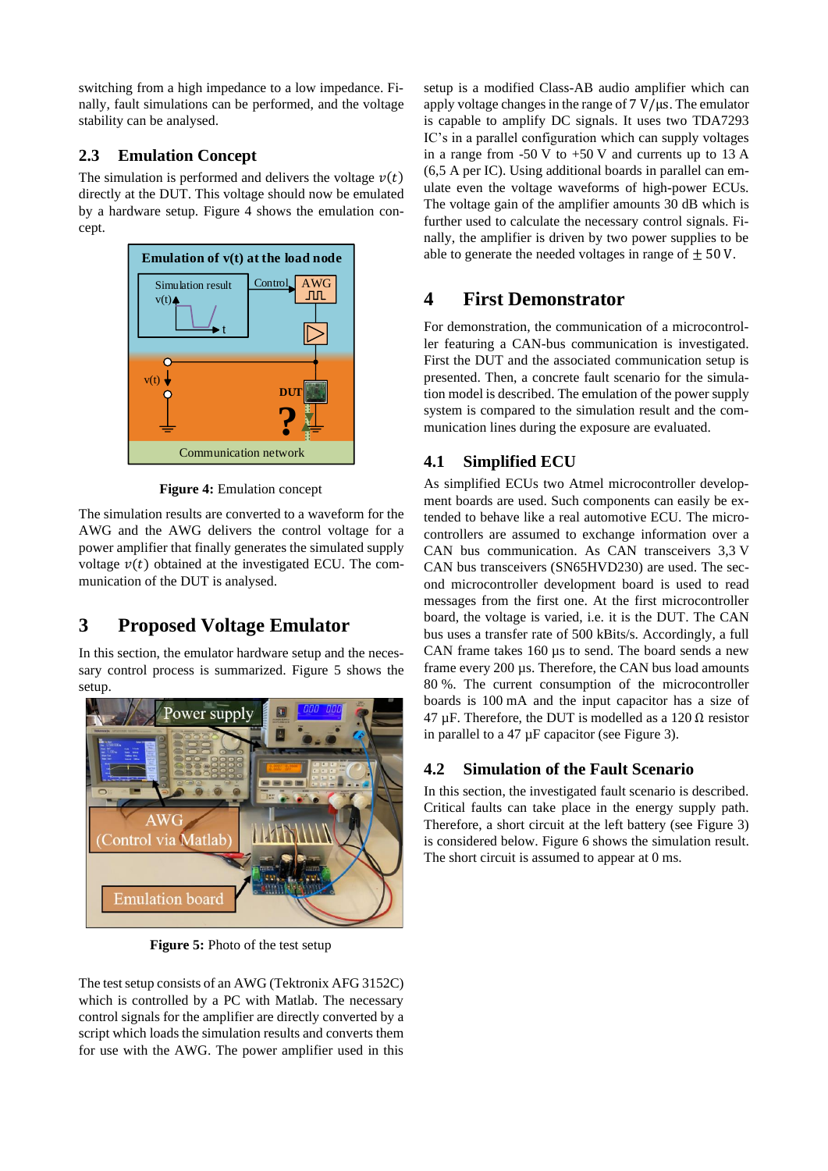switching from a high impedance to a low impedance. Finally, fault simulations can be performed, and the voltage stability can be analysed.

## **2.3 Emulation Concept**

The simulation is performed and delivers the voltage  $v(t)$ directly at the DUT. This voltage should now be emulated by a hardware setup. Figure 4 shows the emulation concept.



**Figure 4:** Emulation concept

The simulation results are converted to a waveform for the AWG and the AWG delivers the control voltage for a power amplifier that finally generates the simulated supply voltage  $v(t)$  obtained at the investigated ECU. The communication of the DUT is analysed.

# **3 Proposed Voltage Emulator**

In this section, the emulator hardware setup and the necessary control process is summarized. Figure 5 shows the setup.



**Figure 5:** Photo of the test setup

The test setup consists of an AWG (Tektronix AFG 3152C) which is controlled by a PC with Matlab. The necessary control signals for the amplifier are directly converted by a script which loads the simulation results and converts them for use with the AWG. The power amplifier used in this setup is a modified Class-AB audio amplifier which can apply voltage changes in the range of  $7 \text{ V}/\mu s$ . The emulator is capable to amplify DC signals. It uses two TDA7293 IC's in a parallel configuration which can supply voltages in a range from  $-50$  V to  $+50$  V and currents up to 13 A (6,5 A per IC). Using additional boards in parallel can emulate even the voltage waveforms of high-power ECUs. The voltage gain of the amplifier amounts 30 dB which is further used to calculate the necessary control signals. Finally, the amplifier is driven by two power supplies to be able to generate the needed voltages in range of  $+50$  V.

## **4 First Demonstrator**

For demonstration, the communication of a microcontroller featuring a CAN-bus communication is investigated. First the DUT and the associated communication setup is presented. Then, a concrete fault scenario for the simulation model is described. The emulation of the power supply system is compared to the simulation result and the communication lines during the exposure are evaluated.

## **4.1 Simplified ECU**

As simplified ECUs two Atmel microcontroller development boards are used. Such components can easily be extended to behave like a real automotive ECU. The microcontrollers are assumed to exchange information over a CAN bus communication. As CAN transceivers 3,3 V CAN bus transceivers (SN65HVD230) are used. The second microcontroller development board is used to read messages from the first one. At the first microcontroller board, the voltage is varied, i.e. it is the DUT. The CAN bus uses a transfer rate of 500 kBits/s. Accordingly, a full CAN frame takes 160 µs to send. The board sends a new frame every 200 µs. Therefore, the CAN bus load amounts 80 %. The current consumption of the microcontroller boards is 100 mA and the input capacitor has a size of 47 μF. Therefore, the DUT is modelled as a 120  $\Omega$  resistor in parallel to a 47 µF capacitor (see Figure 3).

### **4.2 Simulation of the Fault Scenario**

In this section, the investigated fault scenario is described. Critical faults can take place in the energy supply path. Therefore, a short circuit at the left battery (see Figure 3) is considered below. Figure 6 shows the simulation result. The short circuit is assumed to appear at 0 ms.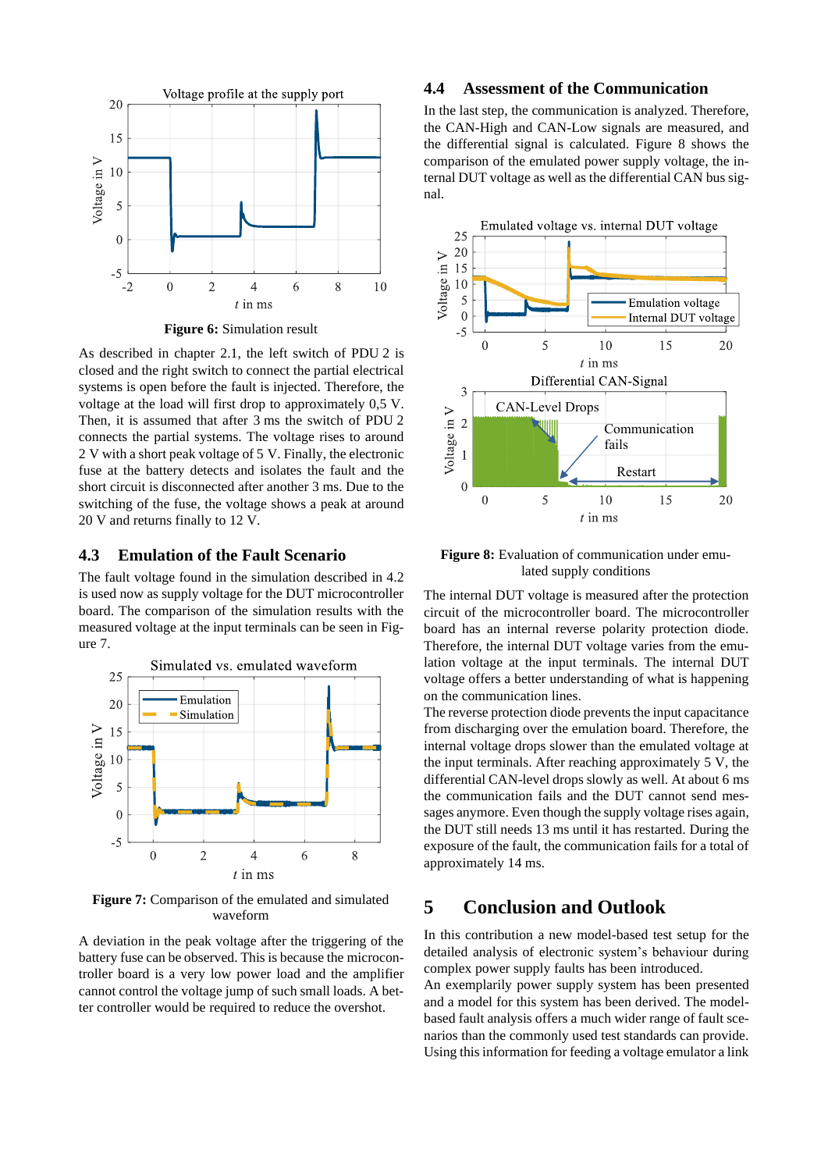

**Figure 6:** Simulation result

As described in chapter 2.1, the left switch of PDU 2 is closed and the right switch to connect the partial electrical systems is open before the fault is injected. Therefore, the voltage at the load will first drop to approximately 0,5 V. Then, it is assumed that after 3 ms the switch of PDU 2 connects the partial systems. The voltage rises to around 2 V with a short peak voltage of 5 V. Finally, the electronic fuse at the battery detects and isolates the fault and the short circuit is disconnected after another 3 ms. Due to the switching of the fuse, the voltage shows a peak at around 20 V and returns finally to 12 V.

#### **4.3 Emulation of the Fault Scenario**

The fault voltage found in the simulation described in 4.2 is used now as supply voltage for the DUT microcontroller board. The comparison of the simulation results with the measured voltage at the input terminals can be seen in Figure 7.



**Figure 7:** Comparison of the emulated and simulated waveform

A deviation in the peak voltage after the triggering of the battery fuse can be observed. This is because the microcontroller board is a very low power load and the amplifier cannot control the voltage jump of such small loads. A better controller would be required to reduce the overshot.

#### **4.4 Assessment of the Communication**

In the last step, the communication is analyzed. Therefore, the CAN-High and CAN-Low signals are measured, and the differential signal is calculated. Figure 8 shows the comparison of the emulated power supply voltage, the internal DUT voltage as well as the differential CAN bus signal.



Figure 8: Evaluation of communication under emulated supply conditions

The internal DUT voltage is measured after the protection circuit of the microcontroller board. The microcontroller board has an internal reverse polarity protection diode. Therefore, the internal DUT voltage varies from the emulation voltage at the input terminals. The internal DUT voltage offers a better understanding of what is happening on the communication lines.

The reverse protection diode prevents the input capacitance from discharging over the emulation board. Therefore, the internal voltage drops slower than the emulated voltage at the input terminals. After reaching approximately 5 V, the differential CAN-level drops slowly as well. At about 6 ms the communication fails and the DUT cannot send messages anymore. Even though the supply voltage rises again, the DUT still needs 13 ms until it has restarted. During the exposure of the fault, the communication fails for a total of approximately 14 ms.

### **5 Conclusion and Outlook**

In this contribution a new model-based test setup for the detailed analysis of electronic system's behaviour during complex power supply faults has been introduced.

An exemplarily power supply system has been presented and a model for this system has been derived. The modelbased fault analysis offers a much wider range of fault scenarios than the commonly used test standards can provide. Using this information for feeding a voltage emulator a link